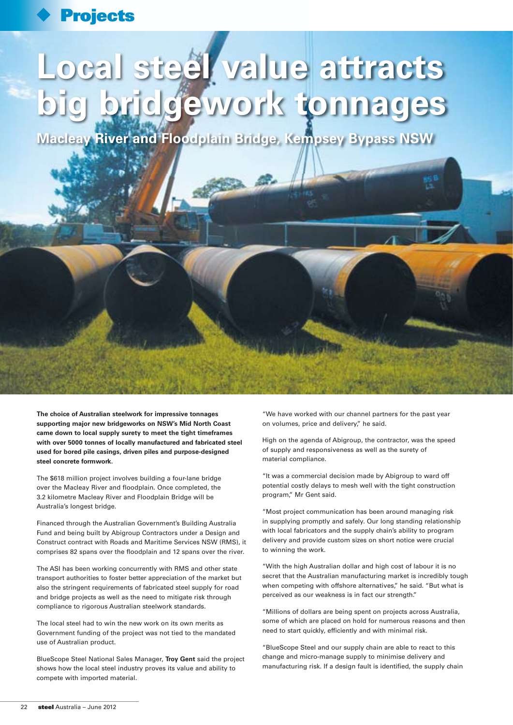## **Projects**

# **Local steel value attracts big bridgework tonnages**

**Macleay River and Floodplain Bridge, Kempsey Bypass NSW**

優

**The choice of Australian steelwork for impressive tonnages supporting major new bridgeworks on NSW's Mid North Coast came down to local supply surety to meet the tight timeframes with over 5000 tonnes of locally manufactured and fabricated steel used for bored pile casings, driven piles and purpose-designed steel concrete formwork.**

The \$618 million project involves building a four-lane bridge over the Macleay River and floodplain. Once completed, the 3.2 kilometre Macleay River and Floodplain Bridge will be Australia's longest bridge.

Financed through the Australian Government's Building Australia Fund and being built by Abigroup Contractors under a Design and Construct contract with Roads and Maritime Services NSW (RMS), it comprises 82 spans over the floodplain and 12 spans over the river.

The ASI has been working concurrently with RMS and other state transport authorities to foster better appreciation of the market but also the stringent requirements of fabricated steel supply for road and bridge projects as well as the need to mitigate risk through compliance to rigorous Australian steelwork standards.

The local steel had to win the new work on its own merits as Government funding of the project was not tied to the mandated use of Australian product.

BlueScope Steel National Sales Manager, **Troy Gent** said the project shows how the local steel industry proves its value and ability to compete with imported material.

"We have worked with our channel partners for the past year on volumes, price and delivery," he said.

High on the agenda of Abigroup, the contractor, was the speed of supply and responsiveness as well as the surety of material compliance.

"It was a commercial decision made by Abigroup to ward off potential costly delays to mesh well with the tight construction program," Mr Gent said.

"Most project communication has been around managing risk in supplying promptly and safely. Our long standing relationship with local fabricators and the supply chain's ability to program delivery and provide custom sizes on short notice were crucial to winning the work.

"With the high Australian dollar and high cost of labour it is no secret that the Australian manufacturing market is incredibly tough when competing with offshore alternatives," he said. "But what is perceived as our weakness is in fact our strength."

"Millions of dollars are being spent on projects across Australia, some of which are placed on hold for numerous reasons and then need to start quickly, efficiently and with minimal risk.

"BlueScope Steel and our supply chain are able to react to this change and micro-manage supply to minimise delivery and manufacturing risk. If a design fault is identified, the supply chain